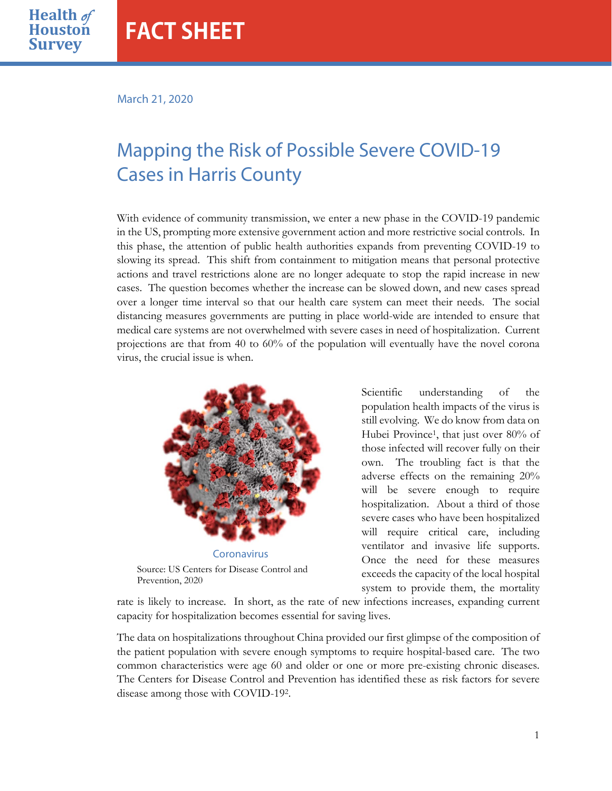March 21, 2020

**Health** of

**Survey**

# Mapping the Risk of Possible Severe COVID-19 Cases in Harris County

With evidence of community transmission, we enter a new phase in the COVID-19 pandemic in the US, prompting more extensive government action and more restrictive social controls. In this phase, the attention of public health authorities expands from preventing COVID-19 to slowing its spread. This shift from containment to mitigation means that personal protective actions and travel restrictions alone are no longer adequate to stop the rapid increase in new cases. The question becomes whether the increase can be slowed down, and new cases spread over a longer time interval so that our health care system can meet their needs. The social distancing measures governments are putting in place world-wide are intended to ensure that medical care systems are not overwhelmed with severe cases in need of hospitalization. Current projections are that from 40 to 60% of the population will eventually have the novel corona virus, the crucial issue is when.



Scientific understanding of the population health impacts of the virus is still evolving. We do know from data on Hubei Province1, that just over 80% of those infected will recover fully on their own. The troubling fact is that the adverse effects on the remaining 20% will be severe enough to require hospitalization. About a third of those severe cases who have been hospitalized will require critical care, including ventilator and invasive life supports. Once the need for these measures exceeds the capacity of the local hospital system to provide them, the mortality

rate is likely to increase. In short, as the rate of new infections increases, expanding current capacity for hospitalization becomes essential for saving lives.

The data on hospitalizations throughout China provided our first glimpse of the composition of the patient population with severe enough symptoms to require hospital-based care. The two common characteristics were age 60 and older or one or more pre-existing chronic diseases. The Centers for Disease Control and Prevention has identified these as risk factors for severe disease among those with COVID-192.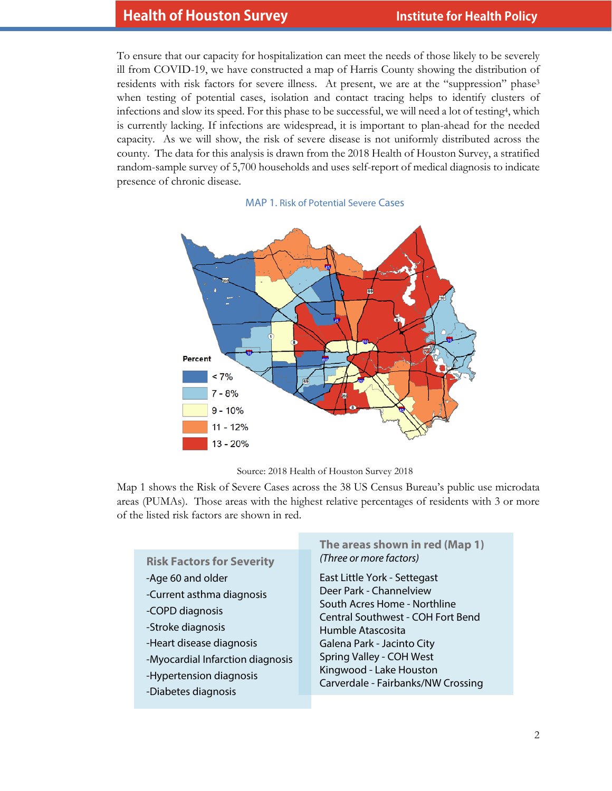To ensure that our capacity for hospitalization can meet the needs of those likely to be severely ill from COVID-19, we have constructed a map of Harris County showing the distribution of residents with risk factors for severe illness. At present, we are at the "suppression" phase3 when testing of potential cases, isolation and contact tracing helps to identify clusters of infections and slow its speed. For this phase to be successful, we will need a lot of testing4, which is currently lacking. If infections are widespread, it is important to plan-ahead for the needed capacity. As we will show, the risk of severe disease is not uniformly distributed across the county. The data for this analysis is drawn from the 2018 Health of Houston Survey, a stratified random-sample survey of 5,700 households and uses self-report of medical diagnosis to indicate presence of chronic disease.







Map 1 shows the Risk of Severe Cases across the 38 US Census Bureau's public use microdata areas (PUMAs). Those areas with the highest relative percentages of residents with 3 or more of the listed risk factors are shown in red.

| East Little York - Settegast<br>-Age 60 and older<br>Deer Park - Channelview<br>-Current asthma diagnosis                                                                                                                                                                                                                                                                   |  |
|-----------------------------------------------------------------------------------------------------------------------------------------------------------------------------------------------------------------------------------------------------------------------------------------------------------------------------------------------------------------------------|--|
| South Acres Home - Northline<br>-COPD diagnosis<br>Central Southwest - COH Fort Bend<br>-Stroke diagnosis<br>Humble Atascosita<br>-Heart disease diagnosis<br>Galena Park - Jacinto City<br>Spring Valley - COH West<br>-Myocardial Infarction diagnosis<br>Kingwood - Lake Houston<br>-Hypertension diagnosis<br>Carverdale - Fairbanks/NW Crossing<br>-Diabetes diagnosis |  |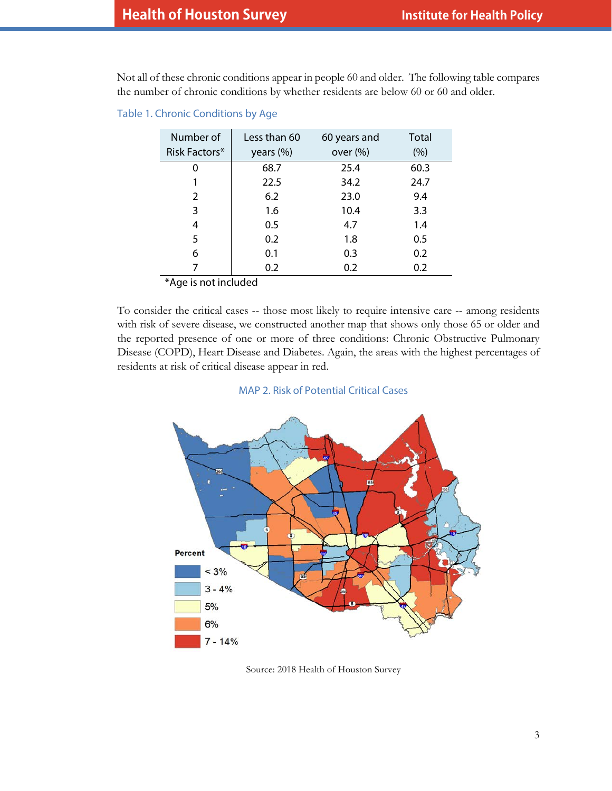Not all of these chronic conditions appear in people 60 and older. The following table compares the number of chronic conditions by whether residents are below 60 or 60 and older.

Table 1. Chronic Conditions by Age

| Number of     | Less than 60 | 60 years and | Total |
|---------------|--------------|--------------|-------|
| Risk Factors* | years (%)    | over $(\%)$  | (%)   |
|               | 68.7         | 25.4         | 60.3  |
|               | 22.5         | 34.2         | 24.7  |
| 2             | 6.2          | 23.0         | 9.4   |
| 3             | 1.6          | 10.4         | 3.3   |
| 4             | 0.5          | 4.7          | 1.4   |
| 5             | 0.2          | 1.8          | 0.5   |
| 6             | 0.1          | 0.3          | 0.2   |
|               | 0.2          | 0.2          | 0.2   |

\*Age is not included

To consider the critical cases -- those most likely to require intensive care -- among residents with risk of severe disease, we constructed another map that shows only those 65 or older and the reported presence of one or more of three conditions: Chronic Obstructive Pulmonary Disease (COPD), Heart Disease and Diabetes. Again, the areas with the highest percentages of residents at risk of critical disease appear in red.

### MAP 2. Risk of Potential Critical Cases



Source: 2018 Health of Houston Survey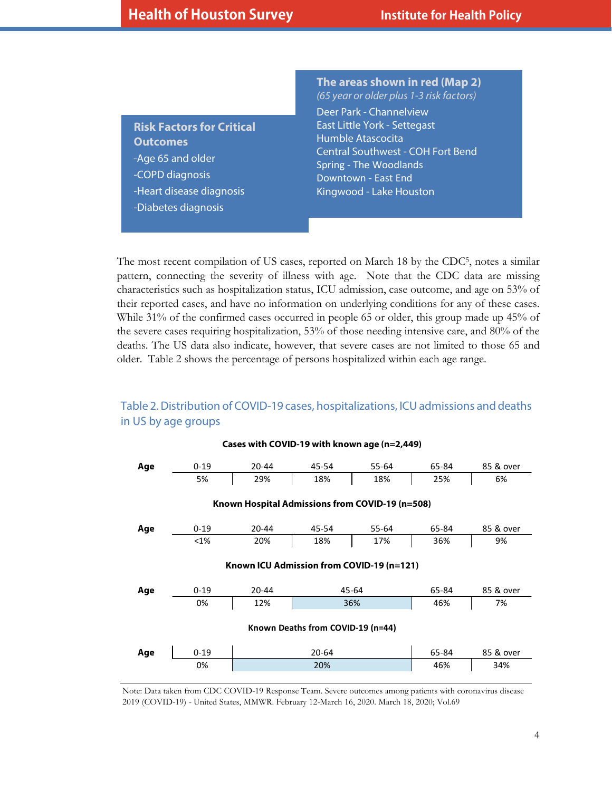**Risk Factors for Critical Outcomes** -Age 65 and older -COPD diagnosis -Heart disease diagnosis -Diabetes diagnosis

**The areas shown in red (Map 2)** *(65 year or older plus 1-3 risk factors)* Deer Park - Channelview East Little York - Settegast Humble Atascocita Central Southwest - COH Fort Bend Spring - The Woodlands Downtown - East End Kingwood - Lake Houston

The most recent compilation of US cases, reported on March 18 by the CDC5, notes a similar pattern, connecting the severity of illness with age. Note that the CDC data are missing characteristics such as hospitalization status, ICU admission, case outcome, and age on 53% of their reported cases, and have no information on underlying conditions for any of these cases. While 31% of the confirmed cases occurred in people 65 or older, this group made up 45% of the severe cases requiring hospitalization, 53% of those needing intensive care, and 80% of the deaths. The US data also indicate, however, that severe cases are not limited to those 65 and older. Table 2 shows the percentage of persons hospitalized within each age range.

## Table 2. Distribution of COVID-19 cases, hospitalizations, ICU admissions and deaths in US by age groups



#### Note: Data taken from CDC COVID-19 Response Team. Severe outcomes among patients with coronavirus disease 2019 (COVID-19) - United States, MMWR. February 12-March 16, 2020. March 18, 2020; Vol.69